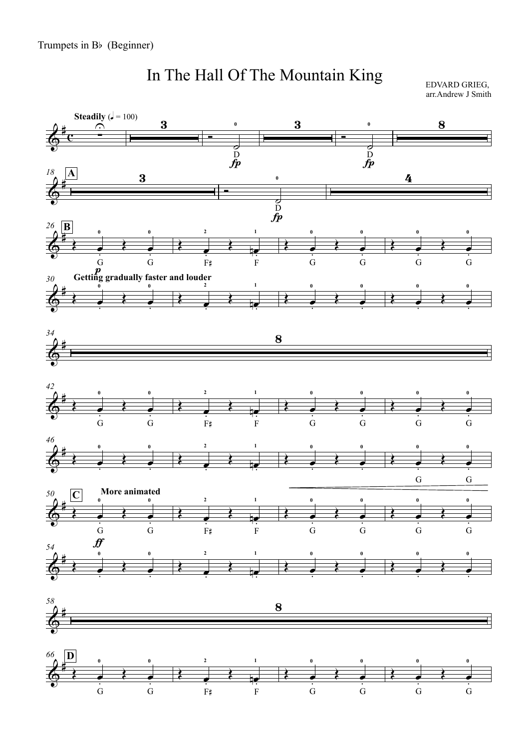## In The Hall Of The Mountain King

EDVARD GRIEG, arr.Andrew J Smith